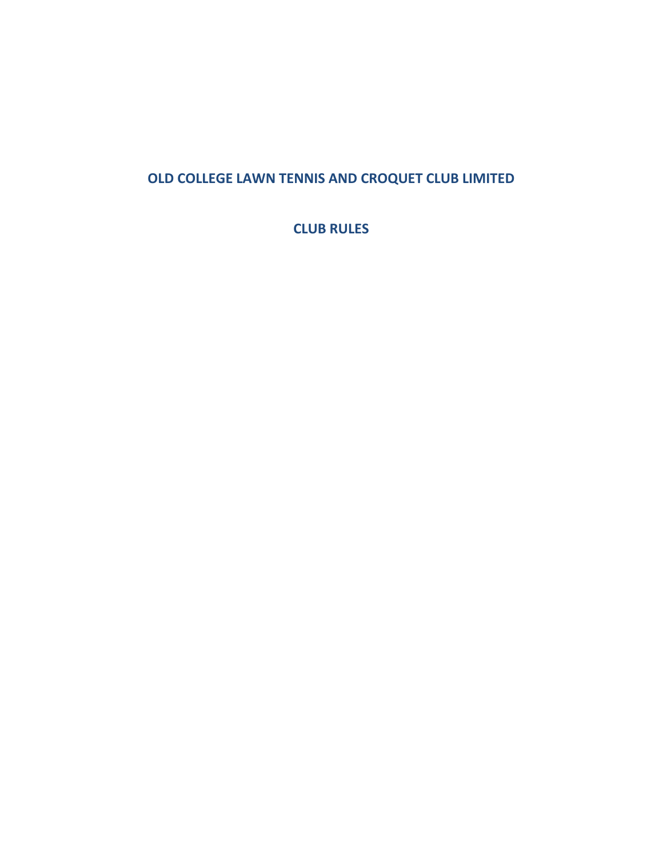# **OLD COLLEGE LAWN TENNIS AND CROQUET CLUB LIMITED**

**CLUB RULES**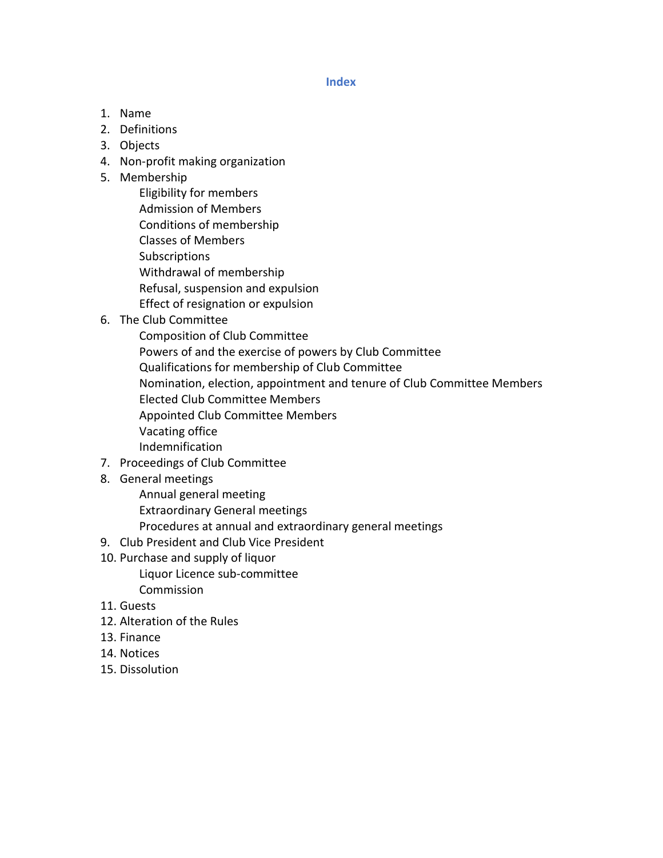#### **Index**

- 1. Name
- 2. Definitions
- 3. Objects
- 4. Non-profit making organization
- 5. Membership
	- Eligibility for members Admission of Members Conditions of membership Classes of Members **Subscriptions** Withdrawal of membership Refusal, suspension and expulsion Effect of resignation or expulsion
- 6. The Club Committee
	- Composition of Club Committee Powers of and the exercise of powers by Club Committee Qualifications for membership of Club Committee Nomination, election, appointment and tenure of Club Committee Members Elected Club Committee Members Appointed Club Committee Members Vacating office Indemnification
- 7. Proceedings of Club Committee
- 8. General meetings
	- Annual general meeting Extraordinary General meetings Procedures at annual and extraordinary general meetings
- 9. Club President and Club Vice President
- 10. Purchase and supply of liquor Liquor Licence sub-committee
	- Commission
- 11. Guests
- 12. Alteration of the Rules
- 13. Finance
- 14. Notices
- 15. Dissolution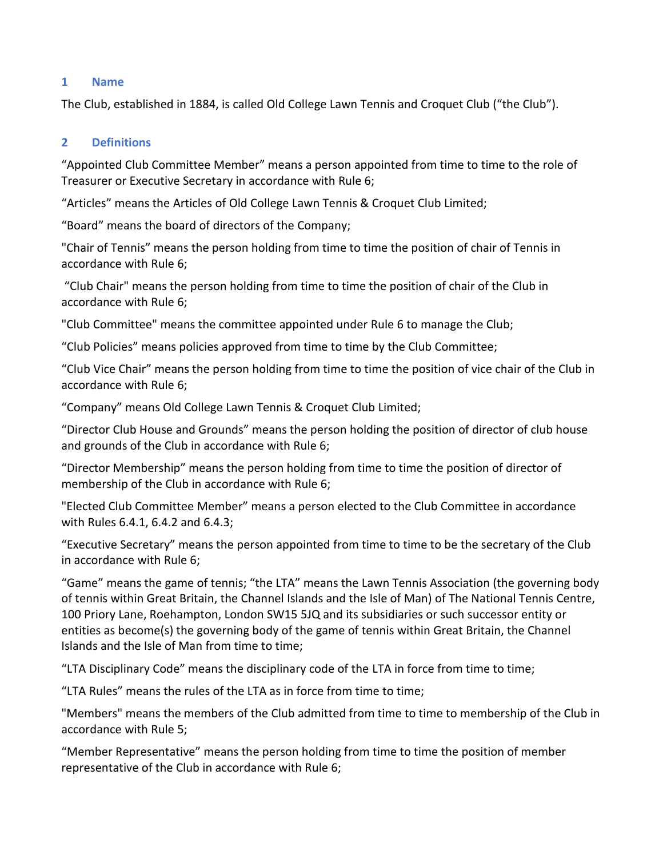## **1 Name**

The Club, established in 1884, is called Old College Lawn Tennis and Croquet Club ("the Club").

# **2 Definitions**

"Appointed Club Committee Member" means a person appointed from time to time to the role of Treasurer or Executive Secretary in accordance with Rule 6;

"Articles" means the Articles of Old College Lawn Tennis & Croquet Club Limited;

"Board" means the board of directors of the Company;

"Chair of Tennis" means the person holding from time to time the position of chair of Tennis in accordance with Rule 6;

"Club Chair" means the person holding from time to time the position of chair of the Club in accordance with Rule 6;

"Club Committee" means the committee appointed under Rule 6 to manage the Club;

"Club Policies" means policies approved from time to time by the Club Committee;

"Club Vice Chair" means the person holding from time to time the position of vice chair of the Club in accordance with Rule 6;

"Company" means Old College Lawn Tennis & Croquet Club Limited;

"Director Club House and Grounds" means the person holding the position of director of club house and grounds of the Club in accordance with Rule 6;

"Director Membership" means the person holding from time to time the position of director of membership of the Club in accordance with Rule 6;

"Elected Club Committee Member" means a person elected to the Club Committee in accordance with Rules 6.4.1, 6.4.2 and 6.4.3;

"Executive Secretary" means the person appointed from time to time to be the secretary of the Club in accordance with Rule 6;

"Game" means the game of tennis; "the LTA" means the Lawn Tennis Association (the governing body of tennis within Great Britain, the Channel Islands and the Isle of Man) of The National Tennis Centre, 100 Priory Lane, Roehampton, London SW15 5JQ and its subsidiaries or such successor entity or entities as become(s) the governing body of the game of tennis within Great Britain, the Channel Islands and the Isle of Man from time to time;

"LTA Disciplinary Code" means the disciplinary code of the LTA in force from time to time;

"LTA Rules" means the rules of the LTA as in force from time to time;

"Members" means the members of the Club admitted from time to time to membership of the Club in accordance with Rule 5;

"Member Representative" means the person holding from time to time the position of member representative of the Club in accordance with Rule 6;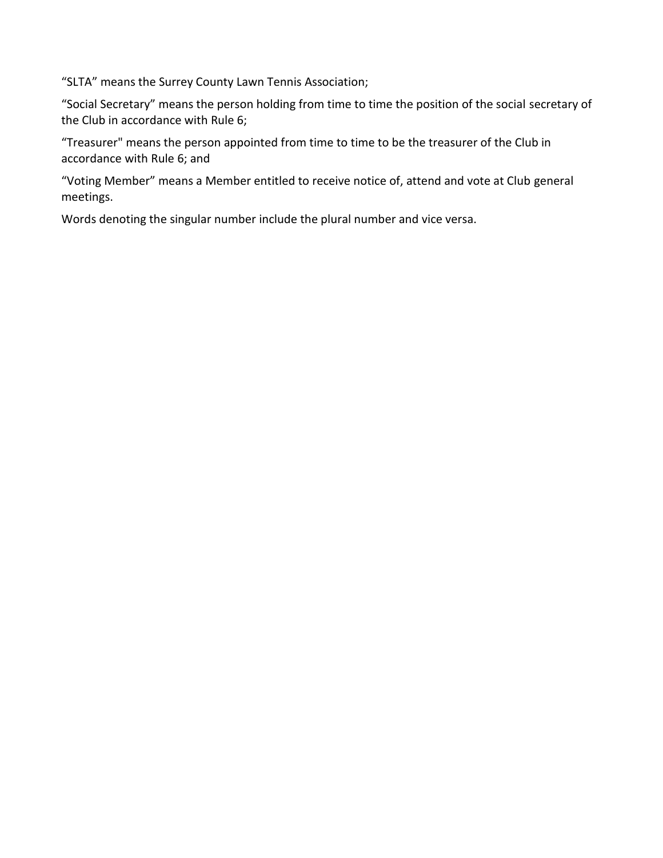"SLTA" means the Surrey County Lawn Tennis Association;

"Social Secretary" means the person holding from time to time the position of the social secretary of the Club in accordance with Rule 6;

"Treasurer" means the person appointed from time to time to be the treasurer of the Club in accordance with Rule 6; and

"Voting Member" means a Member entitled to receive notice of, attend and vote at Club general meetings.

Words denoting the singular number include the plural number and vice versa.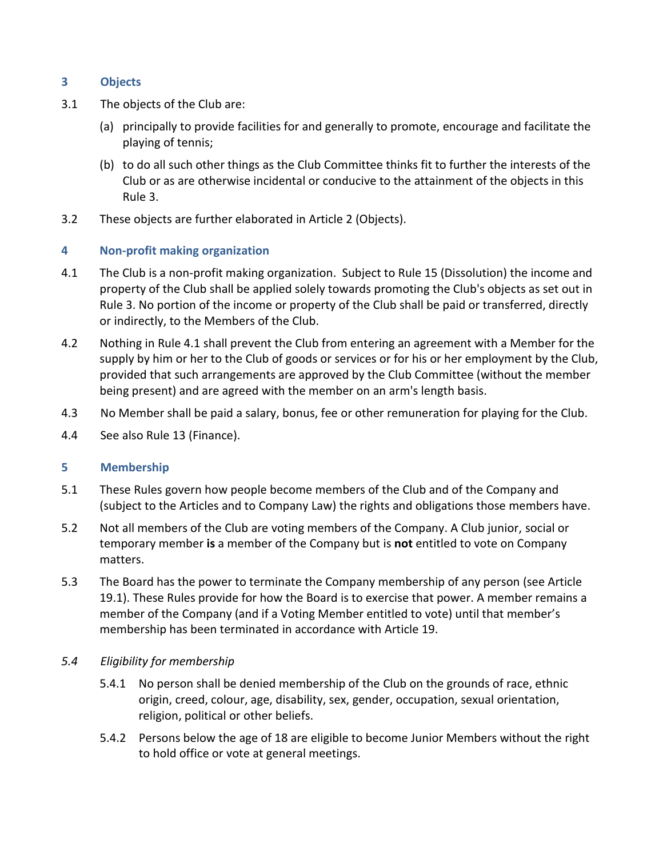# **3 Objects**

- 3.1 The objects of the Club are:
	- (a) principally to provide facilities for and generally to promote, encourage and facilitate the playing of tennis;
	- (b) to do all such other things as the Club Committee thinks fit to further the interests of the Club or as are otherwise incidental or conducive to the attainment of the objects in this Rule 3.
- 3.2 These objects are further elaborated in Article 2 (Objects).

## **4 Non-profit making organization**

- 4.1 The Club is a non-profit making organization. Subject to Rule 15 (Dissolution) the income and property of the Club shall be applied solely towards promoting the Club's objects as set out in Rule 3. No portion of the income or property of the Club shall be paid or transferred, directly or indirectly, to the Members of the Club.
- 4.2 Nothing in Rule 4.1 shall prevent the Club from entering an agreement with a Member for the supply by him or her to the Club of goods or services or for his or her employment by the Club, provided that such arrangements are approved by the Club Committee (without the member being present) and are agreed with the member on an arm's length basis.
- 4.3 No Member shall be paid a salary, bonus, fee or other remuneration for playing for the Club.
- 4.4 See also Rule 13 (Finance).

## **5 Membership**

- 5.1 These Rules govern how people become members of the Club and of the Company and (subject to the Articles and to Company Law) the rights and obligations those members have.
- 5.2 Not all members of the Club are voting members of the Company. A Club junior, social or temporary member **is** a member of the Company but is **not** entitled to vote on Company matters.
- 5.3 The Board has the power to terminate the Company membership of any person (see Article 19.1). These Rules provide for how the Board is to exercise that power. A member remains a member of the Company (and if a Voting Member entitled to vote) until that member's membership has been terminated in accordance with Article 19.

## *5.4 Eligibility for membership*

- 5.4.1 No person shall be denied membership of the Club on the grounds of race, ethnic origin, creed, colour, age, disability, sex, gender, occupation, sexual orientation, religion, political or other beliefs.
- 5.4.2 Persons below the age of 18 are eligible to become Junior Members without the right to hold office or vote at general meetings.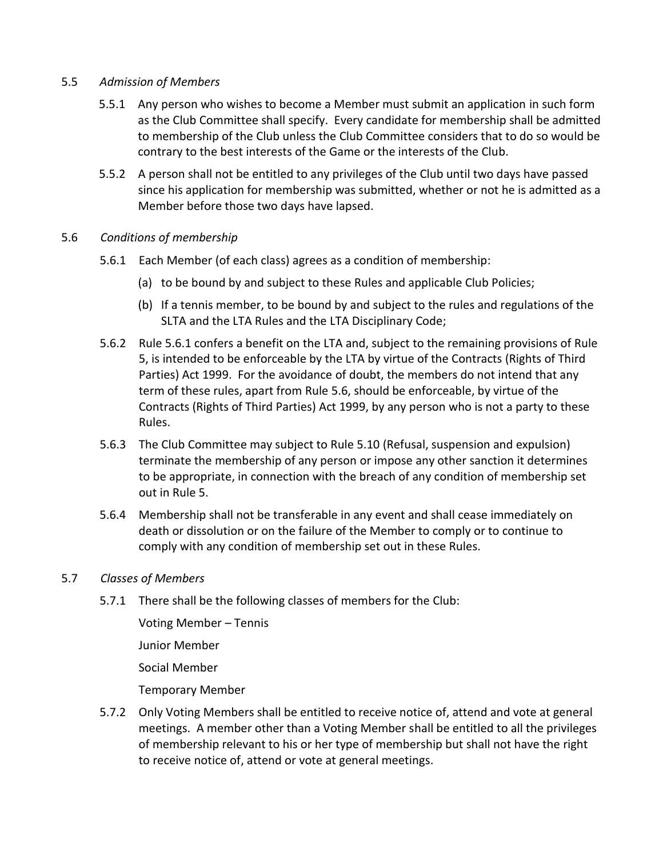## 5.5 *Admission of Members*

- 5.5.1 Any person who wishes to become a Member must submit an application in such form as the Club Committee shall specify. Every candidate for membership shall be admitted to membership of the Club unless the Club Committee considers that to do so would be contrary to the best interests of the Game or the interests of the Club.
- 5.5.2 A person shall not be entitled to any privileges of the Club until two days have passed since his application for membership was submitted, whether or not he is admitted as a Member before those two days have lapsed.

## 5.6 *Conditions of membership*

- 5.6.1 Each Member (of each class) agrees as a condition of membership:
	- (a) to be bound by and subject to these Rules and applicable Club Policies;
	- (b) If a tennis member, to be bound by and subject to the rules and regulations of the SLTA and the LTA Rules and the LTA Disciplinary Code;
- 5.6.2 Rule 5.6.1 confers a benefit on the LTA and, subject to the remaining provisions of Rule 5, is intended to be enforceable by the LTA by virtue of the Contracts (Rights of Third Parties) Act 1999. For the avoidance of doubt, the members do not intend that any term of these rules, apart from Rule 5.6, should be enforceable, by virtue of the Contracts (Rights of Third Parties) Act 1999, by any person who is not a party to these Rules.
- 5.6.3 The Club Committee may subject to Rule 5.10 (Refusal, suspension and expulsion) terminate the membership of any person or impose any other sanction it determines to be appropriate, in connection with the breach of any condition of membership set out in Rule 5.
- 5.6.4 Membership shall not be transferable in any event and shall cease immediately on death or dissolution or on the failure of the Member to comply or to continue to comply with any condition of membership set out in these Rules.

## 5.7 *Classes of Members*

5.7.1 There shall be the following classes of members for the Club:

Voting Member – Tennis Junior Member Social Member Temporary Member

5.7.2 Only Voting Members shall be entitled to receive notice of, attend and vote at general meetings. A member other than a Voting Member shall be entitled to all the privileges of membership relevant to his or her type of membership but shall not have the right to receive notice of, attend or vote at general meetings.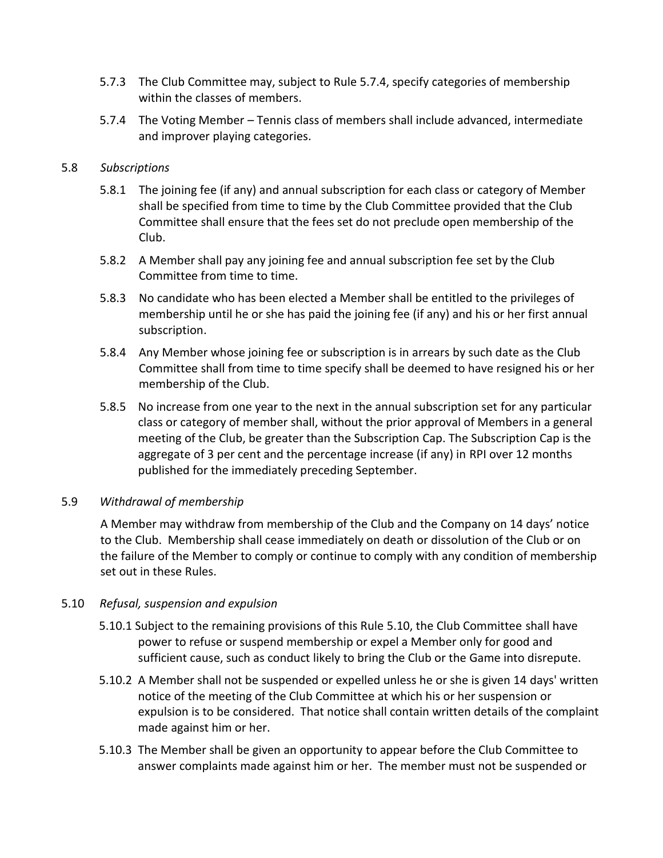- 5.7.3 The Club Committee may, subject to Rule 5.7.4, specify categories of membership within the classes of members.
- 5.7.4 The Voting Member Tennis class of members shall include advanced, intermediate and improver playing categories.

## 5.8 *Subscriptions*

- 5.8.1 The joining fee (if any) and annual subscription for each class or category of Member shall be specified from time to time by the Club Committee provided that the Club Committee shall ensure that the fees set do not preclude open membership of the Club.
- 5.8.2 A Member shall pay any joining fee and annual subscription fee set by the Club Committee from time to time.
- 5.8.3 No candidate who has been elected a Member shall be entitled to the privileges of membership until he or she has paid the joining fee (if any) and his or her first annual subscription.
- 5.8.4 Any Member whose joining fee or subscription is in arrears by such date as the Club Committee shall from time to time specify shall be deemed to have resigned his or her membership of the Club.
- 5.8.5 No increase from one year to the next in the annual subscription set for any particular class or category of member shall, without the prior approval of Members in a general meeting of the Club, be greater than the Subscription Cap. The Subscription Cap is the aggregate of 3 per cent and the percentage increase (if any) in RPI over 12 months published for the immediately preceding September.

## 5.9 *Withdrawal of membership*

A Member may withdraw from membership of the Club and the Company on 14 days' notice to the Club. Membership shall cease immediately on death or dissolution of the Club or on the failure of the Member to comply or continue to comply with any condition of membership set out in these Rules.

## 5.10 *Refusal, suspension and expulsion*

- 5.10.1 Subject to the remaining provisions of this Rule 5.10, the Club Committee shall have power to refuse or suspend membership or expel a Member only for good and sufficient cause, such as conduct likely to bring the Club or the Game into disrepute.
- 5.10.2 A Member shall not be suspended or expelled unless he or she is given 14 days' written notice of the meeting of the Club Committee at which his or her suspension or expulsion is to be considered. That notice shall contain written details of the complaint made against him or her.
- 5.10.3 The Member shall be given an opportunity to appear before the Club Committee to answer complaints made against him or her. The member must not be suspended or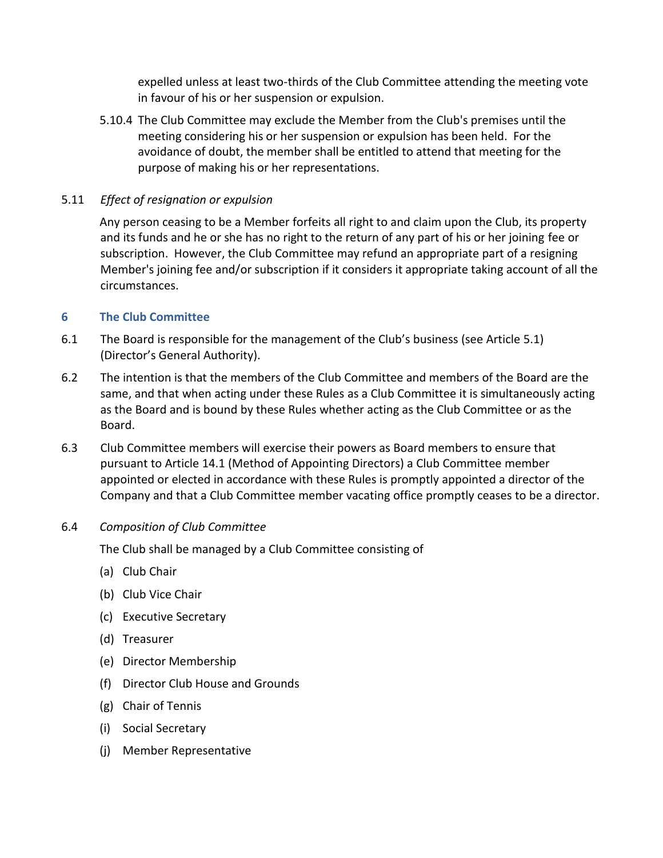expelled unless at least two-thirds of the Club Committee attending the meeting vote in favour of his or her suspension or expulsion.

5.10.4 The Club Committee may exclude the Member from the Club's premises until the meeting considering his or her suspension or expulsion has been held. For the avoidance of doubt, the member shall be entitled to attend that meeting for the purpose of making his or her representations.

# 5.11 *Effect of resignation or expulsion*

Any person ceasing to be a Member forfeits all right to and claim upon the Club, its property and its funds and he or she has no right to the return of any part of his or her joining fee or subscription. However, the Club Committee may refund an appropriate part of a resigning Member's joining fee and/or subscription if it considers it appropriate taking account of all the circumstances.

## **6 The Club Committee**

- 6.1 The Board is responsible for the management of the Club's business (see Article 5.1) (Director's General Authority).
- 6.2 The intention is that the members of the Club Committee and members of the Board are the same, and that when acting under these Rules as a Club Committee it is simultaneously acting as the Board and is bound by these Rules whether acting as the Club Committee or as the Board.
- 6.3 Club Committee members will exercise their powers as Board members to ensure that pursuant to Article 14.1 (Method of Appointing Directors) a Club Committee member appointed or elected in accordance with these Rules is promptly appointed a director of the Company and that a Club Committee member vacating office promptly ceases to be a director.
- 6.4 *Composition of Club Committee*

The Club shall be managed by a Club Committee consisting of

- (a) Club Chair
- (b) Club Vice Chair
- (c) Executive Secretary
- (d) Treasurer
- (e) Director Membership
- (f) Director Club House and Grounds
- (g) Chair of Tennis
- (i) Social Secretary
- (j) Member Representative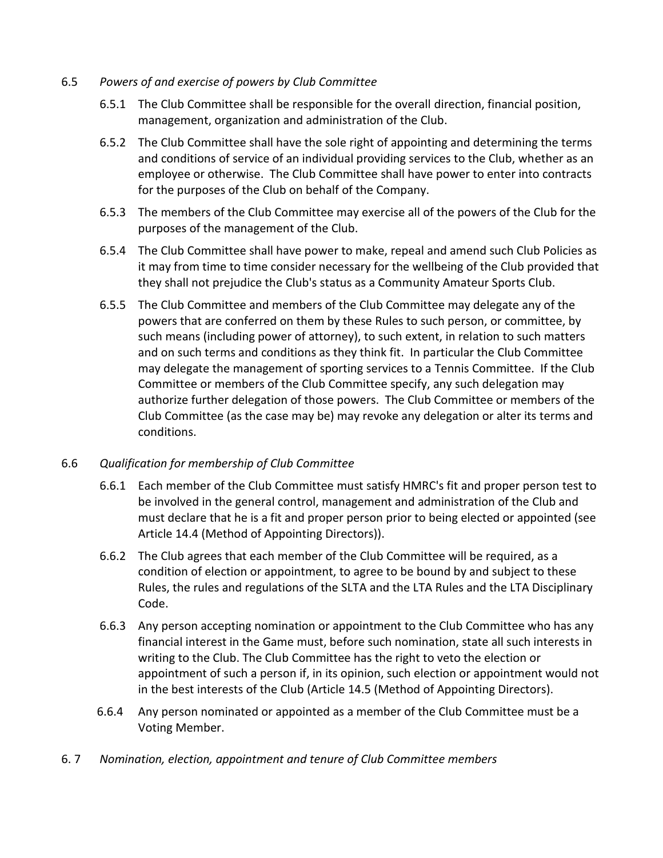## 6.5 *Powers of and exercise of powers by Club Committee*

- 6.5.1 The Club Committee shall be responsible for the overall direction, financial position, management, organization and administration of the Club.
- 6.5.2 The Club Committee shall have the sole right of appointing and determining the terms and conditions of service of an individual providing services to the Club, whether as an employee or otherwise. The Club Committee shall have power to enter into contracts for the purposes of the Club on behalf of the Company.
- 6.5.3 The members of the Club Committee may exercise all of the powers of the Club for the purposes of the management of the Club.
- 6.5.4 The Club Committee shall have power to make, repeal and amend such Club Policies as it may from time to time consider necessary for the wellbeing of the Club provided that they shall not prejudice the Club's status as a Community Amateur Sports Club.
- 6.5.5 The Club Committee and members of the Club Committee may delegate any of the powers that are conferred on them by these Rules to such person, or committee, by such means (including power of attorney), to such extent, in relation to such matters and on such terms and conditions as they think fit. In particular the Club Committee may delegate the management of sporting services to a Tennis Committee. If the Club Committee or members of the Club Committee specify, any such delegation may authorize further delegation of those powers. The Club Committee or members of the Club Committee (as the case may be) may revoke any delegation or alter its terms and conditions.

## 6.6 *Qualification for membership of Club Committee*

- 6.6.1 Each member of the Club Committee must satisfy HMRC's fit and proper person test to be involved in the general control, management and administration of the Club and must declare that he is a fit and proper person prior to being elected or appointed (see Article 14.4 (Method of Appointing Directors)).
- 6.6.2 The Club agrees that each member of the Club Committee will be required, as a condition of election or appointment, to agree to be bound by and subject to these Rules, the rules and regulations of the SLTA and the LTA Rules and the LTA Disciplinary Code.
- 6.6.3 Any person accepting nomination or appointment to the Club Committee who has any financial interest in the Game must, before such nomination, state all such interests in writing to the Club. The Club Committee has the right to veto the election or appointment of such a person if, in its opinion, such election or appointment would not in the best interests of the Club (Article 14.5 (Method of Appointing Directors).
- 6.6.4 Any person nominated or appointed as a member of the Club Committee must be a Voting Member.
- 6. 7 *Nomination, election, appointment and tenure of Club Committee members*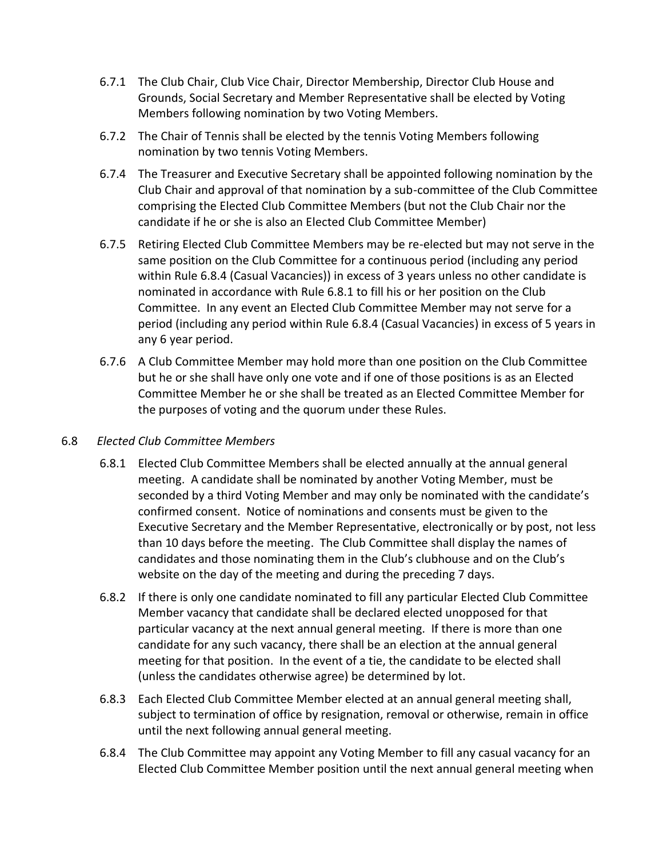- 6.7.1 The Club Chair, Club Vice Chair, Director Membership, Director Club House and Grounds, Social Secretary and Member Representative shall be elected by Voting Members following nomination by two Voting Members.
- 6.7.2 The Chair of Tennis shall be elected by the tennis Voting Members following nomination by two tennis Voting Members.
- 6.7.4 The Treasurer and Executive Secretary shall be appointed following nomination by the Club Chair and approval of that nomination by a sub-committee of the Club Committee comprising the Elected Club Committee Members (but not the Club Chair nor the candidate if he or she is also an Elected Club Committee Member)
- 6.7.5 Retiring Elected Club Committee Members may be re-elected but may not serve in the same position on the Club Committee for a continuous period (including any period within Rule 6.8.4 (Casual Vacancies)) in excess of 3 years unless no other candidate is nominated in accordance with Rule 6.8.1 to fill his or her position on the Club Committee. In any event an Elected Club Committee Member may not serve for a period (including any period within Rule 6.8.4 (Casual Vacancies) in excess of 5 years in any 6 year period.
- 6.7.6 A Club Committee Member may hold more than one position on the Club Committee but he or she shall have only one vote and if one of those positions is as an Elected Committee Member he or she shall be treated as an Elected Committee Member for the purposes of voting and the quorum under these Rules.

## 6.8 *Elected Club Committee Members*

- 6.8.1 Elected Club Committee Members shall be elected annually at the annual general meeting. A candidate shall be nominated by another Voting Member, must be seconded by a third Voting Member and may only be nominated with the candidate's confirmed consent. Notice of nominations and consents must be given to the Executive Secretary and the Member Representative, electronically or by post, not less than 10 days before the meeting. The Club Committee shall display the names of candidates and those nominating them in the Club's clubhouse and on the Club's website on the day of the meeting and during the preceding 7 days.
- 6.8.2 If there is only one candidate nominated to fill any particular Elected Club Committee Member vacancy that candidate shall be declared elected unopposed for that particular vacancy at the next annual general meeting. If there is more than one candidate for any such vacancy, there shall be an election at the annual general meeting for that position. In the event of a tie, the candidate to be elected shall (unless the candidates otherwise agree) be determined by lot.
- 6.8.3 Each Elected Club Committee Member elected at an annual general meeting shall, subject to termination of office by resignation, removal or otherwise, remain in office until the next following annual general meeting.
- 6.8.4 The Club Committee may appoint any Voting Member to fill any casual vacancy for an Elected Club Committee Member position until the next annual general meeting when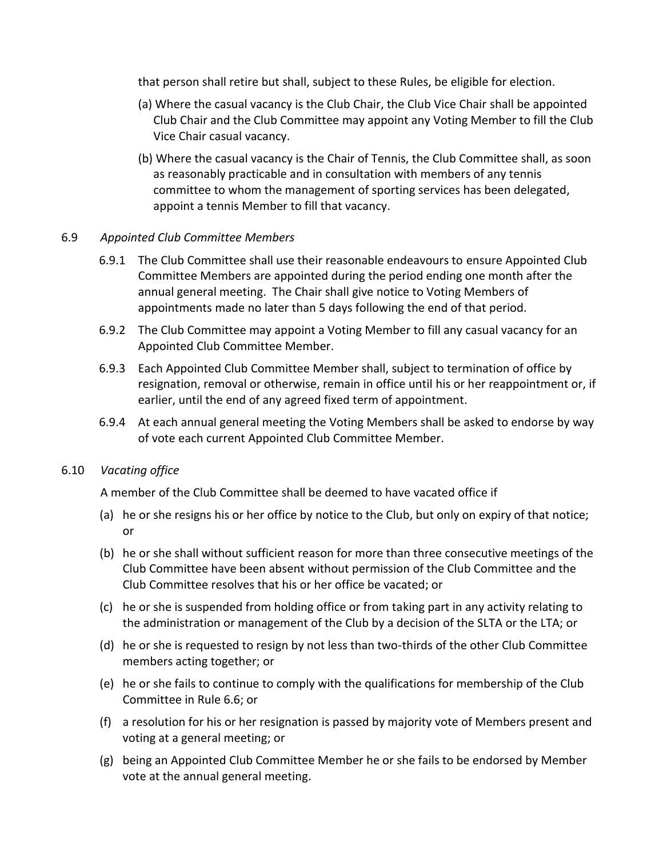that person shall retire but shall, subject to these Rules, be eligible for election.

- (a) Where the casual vacancy is the Club Chair, the Club Vice Chair shall be appointed Club Chair and the Club Committee may appoint any Voting Member to fill the Club Vice Chair casual vacancy.
- (b) Where the casual vacancy is the Chair of Tennis, the Club Committee shall, as soon as reasonably practicable and in consultation with members of any tennis committee to whom the management of sporting services has been delegated, appoint a tennis Member to fill that vacancy.

## 6.9 *Appointed Club Committee Members*

- 6.9.1 The Club Committee shall use their reasonable endeavours to ensure Appointed Club Committee Members are appointed during the period ending one month after the annual general meeting. The Chair shall give notice to Voting Members of appointments made no later than 5 days following the end of that period.
- 6.9.2 The Club Committee may appoint a Voting Member to fill any casual vacancy for an Appointed Club Committee Member.
- 6.9.3 Each Appointed Club Committee Member shall, subject to termination of office by resignation, removal or otherwise, remain in office until his or her reappointment or, if earlier, until the end of any agreed fixed term of appointment.
- 6.9.4 At each annual general meeting the Voting Members shall be asked to endorse by way of vote each current Appointed Club Committee Member.

## 6.10 *Vacating office*

A member of the Club Committee shall be deemed to have vacated office if

- (a) he or she resigns his or her office by notice to the Club, but only on expiry of that notice; or
- (b) he or she shall without sufficient reason for more than three consecutive meetings of the Club Committee have been absent without permission of the Club Committee and the Club Committee resolves that his or her office be vacated; or
- (c) he or she is suspended from holding office or from taking part in any activity relating to the administration or management of the Club by a decision of the SLTA or the LTA; or
- (d) he or she is requested to resign by not less than two-thirds of the other Club Committee members acting together; or
- (e) he or she fails to continue to comply with the qualifications for membership of the Club Committee in Rule 6.6; or
- (f) a resolution for his or her resignation is passed by majority vote of Members present and voting at a general meeting; or
- (g) being an Appointed Club Committee Member he or she fails to be endorsed by Member vote at the annual general meeting.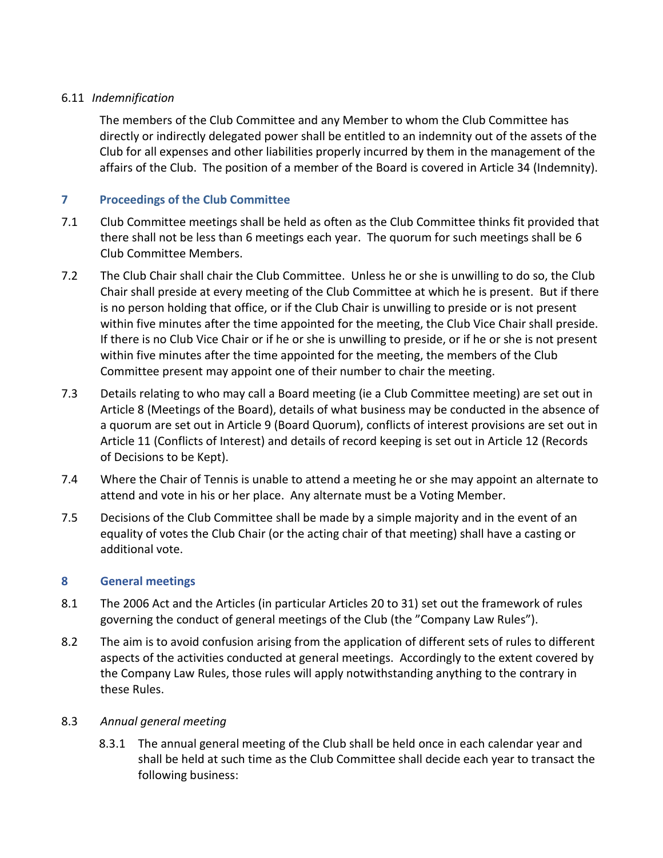# 6.11 *Indemnification*

The members of the Club Committee and any Member to whom the Club Committee has directly or indirectly delegated power shall be entitled to an indemnity out of the assets of the Club for all expenses and other liabilities properly incurred by them in the management of the affairs of the Club. The position of a member of the Board is covered in Article 34 (Indemnity).

# **7 Proceedings of the Club Committee**

- 7.1 Club Committee meetings shall be held as often as the Club Committee thinks fit provided that there shall not be less than 6 meetings each year. The quorum for such meetings shall be 6 Club Committee Members.
- 7.2 The Club Chair shall chair the Club Committee. Unless he or she is unwilling to do so, the Club Chair shall preside at every meeting of the Club Committee at which he is present. But if there is no person holding that office, or if the Club Chair is unwilling to preside or is not present within five minutes after the time appointed for the meeting, the Club Vice Chair shall preside. If there is no Club Vice Chair or if he or she is unwilling to preside, or if he or she is not present within five minutes after the time appointed for the meeting, the members of the Club Committee present may appoint one of their number to chair the meeting.
- 7.3 Details relating to who may call a Board meeting (ie a Club Committee meeting) are set out in Article 8 (Meetings of the Board), details of what business may be conducted in the absence of a quorum are set out in Article 9 (Board Quorum), conflicts of interest provisions are set out in Article 11 (Conflicts of Interest) and details of record keeping is set out in Article 12 (Records of Decisions to be Kept).
- 7.4 Where the Chair of Tennis is unable to attend a meeting he or she may appoint an alternate to attend and vote in his or her place. Any alternate must be a Voting Member.
- 7.5 Decisions of the Club Committee shall be made by a simple majority and in the event of an equality of votes the Club Chair (or the acting chair of that meeting) shall have a casting or additional vote.

# **8 General meetings**

- 8.1 The 2006 Act and the Articles (in particular Articles 20 to 31) set out the framework of rules governing the conduct of general meetings of the Club (the "Company Law Rules").
- 8.2 The aim is to avoid confusion arising from the application of different sets of rules to different aspects of the activities conducted at general meetings. Accordingly to the extent covered by the Company Law Rules, those rules will apply notwithstanding anything to the contrary in these Rules.

## 8.3 *Annual general meeting*

8.3.1 The annual general meeting of the Club shall be held once in each calendar year and shall be held at such time as the Club Committee shall decide each year to transact the following business: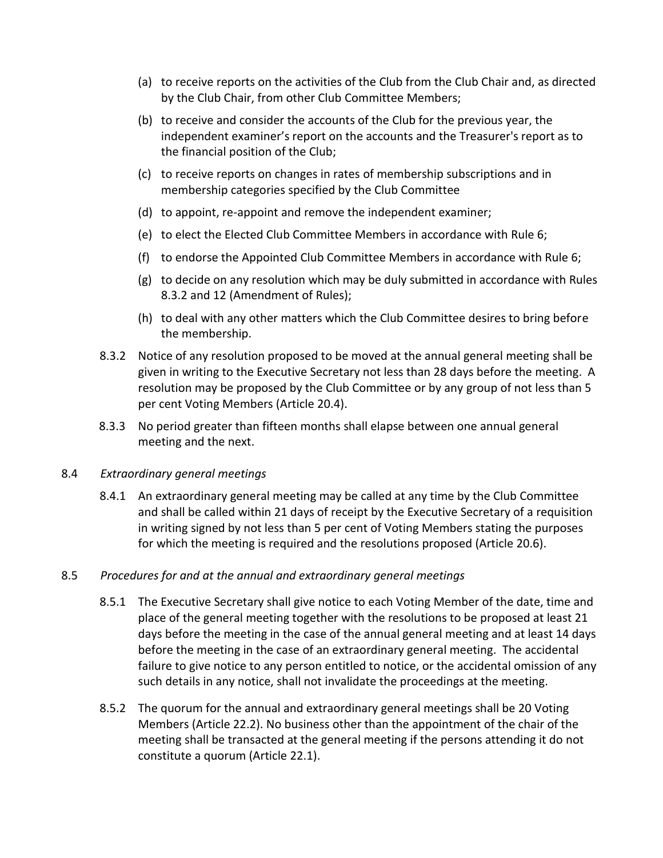- (a) to receive reports on the activities of the Club from the Club Chair and, as directed by the Club Chair, from other Club Committee Members;
- (b) to receive and consider the accounts of the Club for the previous year, the independent examiner's report on the accounts and the Treasurer's report as to the financial position of the Club;
- (c) to receive reports on changes in rates of membership subscriptions and in membership categories specified by the Club Committee
- (d) to appoint, re-appoint and remove the independent examiner;
- (e) to elect the Elected Club Committee Members in accordance with Rule 6;
- (f) to endorse the Appointed Club Committee Members in accordance with Rule 6;
- (g) to decide on any resolution which may be duly submitted in accordance with Rules 8.3.2 and 12 (Amendment of Rules);
- (h) to deal with any other matters which the Club Committee desires to bring before the membership.
- 8.3.2 Notice of any resolution proposed to be moved at the annual general meeting shall be given in writing to the Executive Secretary not less than 28 days before the meeting. A resolution may be proposed by the Club Committee or by any group of not less than 5 per cent Voting Members (Article 20.4).
- 8.3.3 No period greater than fifteen months shall elapse between one annual general meeting and the next.

#### 8.4 *Extraordinary general meetings*

8.4.1 An extraordinary general meeting may be called at any time by the Club Committee and shall be called within 21 days of receipt by the Executive Secretary of a requisition in writing signed by not less than 5 per cent of Voting Members stating the purposes for which the meeting is required and the resolutions proposed (Article 20.6).

#### 8.5 *Procedures for and at the annual and extraordinary general meetings*

- 8.5.1 The Executive Secretary shall give notice to each Voting Member of the date, time and place of the general meeting together with the resolutions to be proposed at least 21 days before the meeting in the case of the annual general meeting and at least 14 days before the meeting in the case of an extraordinary general meeting. The accidental failure to give notice to any person entitled to notice, or the accidental omission of any such details in any notice, shall not invalidate the proceedings at the meeting.
- 8.5.2 The quorum for the annual and extraordinary general meetings shall be 20 Voting Members (Article 22.2). No business other than the appointment of the chair of the meeting shall be transacted at the general meeting if the persons attending it do not constitute a quorum (Article 22.1).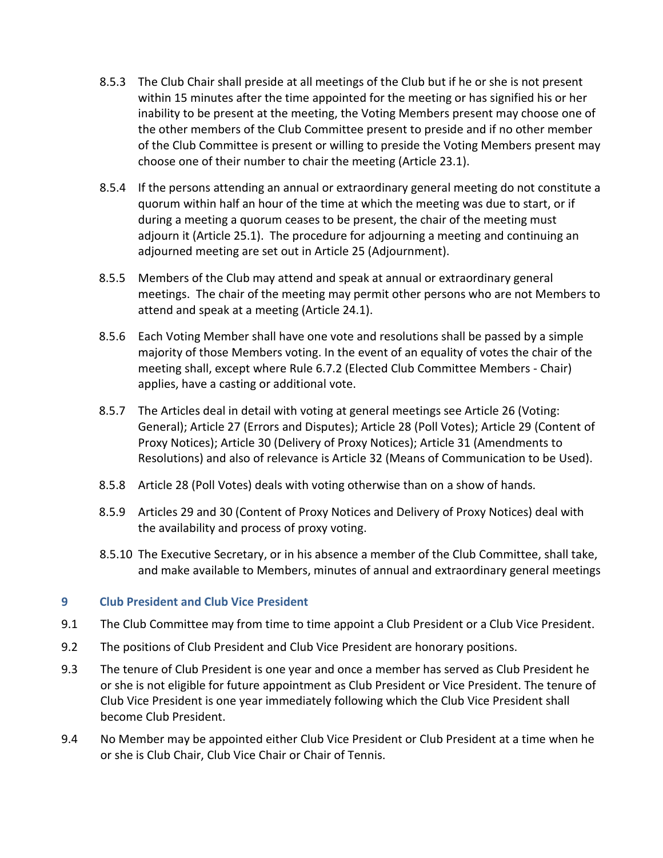- 8.5.3 The Club Chair shall preside at all meetings of the Club but if he or she is not present within 15 minutes after the time appointed for the meeting or has signified his or her inability to be present at the meeting, the Voting Members present may choose one of the other members of the Club Committee present to preside and if no other member of the Club Committee is present or willing to preside the Voting Members present may choose one of their number to chair the meeting (Article 23.1).
- 8.5.4 If the persons attending an annual or extraordinary general meeting do not constitute a quorum within half an hour of the time at which the meeting was due to start, or if during a meeting a quorum ceases to be present, the chair of the meeting must adjourn it (Article 25.1). The procedure for adjourning a meeting and continuing an adjourned meeting are set out in Article 25 (Adjournment).
- 8.5.5 Members of the Club may attend and speak at annual or extraordinary general meetings. The chair of the meeting may permit other persons who are not Members to attend and speak at a meeting (Article 24.1).
- 8.5.6 Each Voting Member shall have one vote and resolutions shall be passed by a simple majority of those Members voting. In the event of an equality of votes the chair of the meeting shall, except where Rule 6.7.2 (Elected Club Committee Members - Chair) applies, have a casting or additional vote.
- 8.5.7 The Articles deal in detail with voting at general meetings see Article 26 (Voting: General); Article 27 (Errors and Disputes); Article 28 (Poll Votes); Article 29 (Content of Proxy Notices); Article 30 (Delivery of Proxy Notices); Article 31 (Amendments to Resolutions) and also of relevance is Article 32 (Means of Communication to be Used).
- 8.5.8 Article 28 (Poll Votes) deals with voting otherwise than on a show of hands.
- 8.5.9 Articles 29 and 30 (Content of Proxy Notices and Delivery of Proxy Notices) deal with the availability and process of proxy voting.
- 8.5.10 The Executive Secretary, or in his absence a member of the Club Committee, shall take, and make available to Members, minutes of annual and extraordinary general meetings

# **9 Club President and Club Vice President**

- 9.1 The Club Committee may from time to time appoint a Club President or a Club Vice President.
- 9.2 The positions of Club President and Club Vice President are honorary positions.
- 9.3 The tenure of Club President is one year and once a member has served as Club President he or she is not eligible for future appointment as Club President or Vice President. The tenure of Club Vice President is one year immediately following which the Club Vice President shall become Club President.
- 9.4 No Member may be appointed either Club Vice President or Club President at a time when he or she is Club Chair, Club Vice Chair or Chair of Tennis.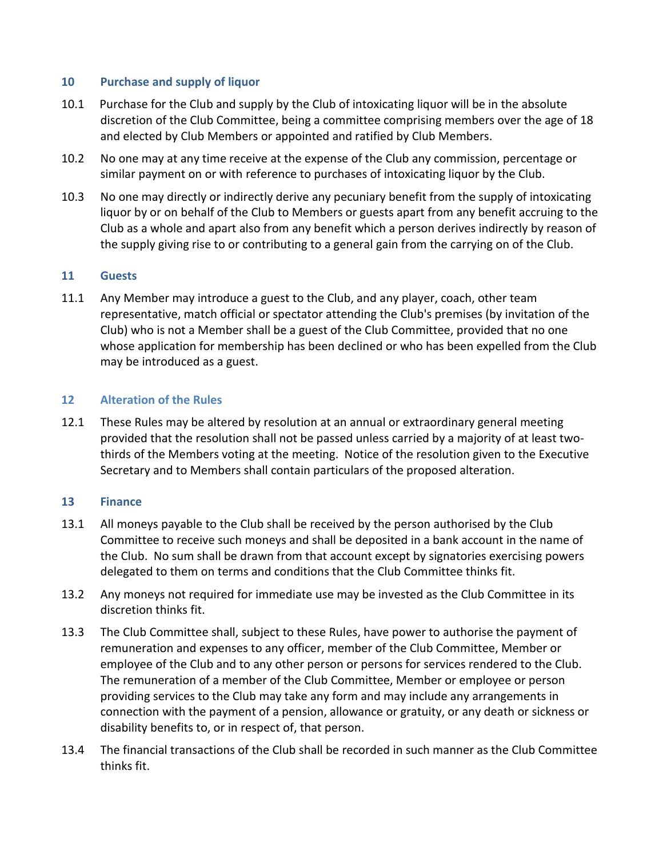## **10 Purchase and supply of liquor**

- 10.1 Purchase for the Club and supply by the Club of intoxicating liquor will be in the absolute discretion of the Club Committee, being a committee comprising members over the age of 18 and elected by Club Members or appointed and ratified by Club Members.
- 10.2 No one may at any time receive at the expense of the Club any commission, percentage or similar payment on or with reference to purchases of intoxicating liquor by the Club.
- 10.3 No one may directly or indirectly derive any pecuniary benefit from the supply of intoxicating liquor by or on behalf of the Club to Members or guests apart from any benefit accruing to the Club as a whole and apart also from any benefit which a person derives indirectly by reason of the supply giving rise to or contributing to a general gain from the carrying on of the Club.

#### **11 Guests**

11.1 Any Member may introduce a guest to the Club, and any player, coach, other team representative, match official or spectator attending the Club's premises (by invitation of the Club) who is not a Member shall be a guest of the Club Committee, provided that no one whose application for membership has been declined or who has been expelled from the Club may be introduced as a guest.

#### **12 Alteration of the Rules**

12.1 These Rules may be altered by resolution at an annual or extraordinary general meeting provided that the resolution shall not be passed unless carried by a majority of at least twothirds of the Members voting at the meeting. Notice of the resolution given to the Executive Secretary and to Members shall contain particulars of the proposed alteration.

#### **13 Finance**

- 13.1 All moneys payable to the Club shall be received by the person authorised by the Club Committee to receive such moneys and shall be deposited in a bank account in the name of the Club. No sum shall be drawn from that account except by signatories exercising powers delegated to them on terms and conditions that the Club Committee thinks fit.
- 13.2 Any moneys not required for immediate use may be invested as the Club Committee in its discretion thinks fit.
- 13.3 The Club Committee shall, subject to these Rules, have power to authorise the payment of remuneration and expenses to any officer, member of the Club Committee, Member or employee of the Club and to any other person or persons for services rendered to the Club. The remuneration of a member of the Club Committee, Member or employee or person providing services to the Club may take any form and may include any arrangements in connection with the payment of a pension, allowance or gratuity, or any death or sickness or disability benefits to, or in respect of, that person.
- 13.4 The financial transactions of the Club shall be recorded in such manner as the Club Committee thinks fit.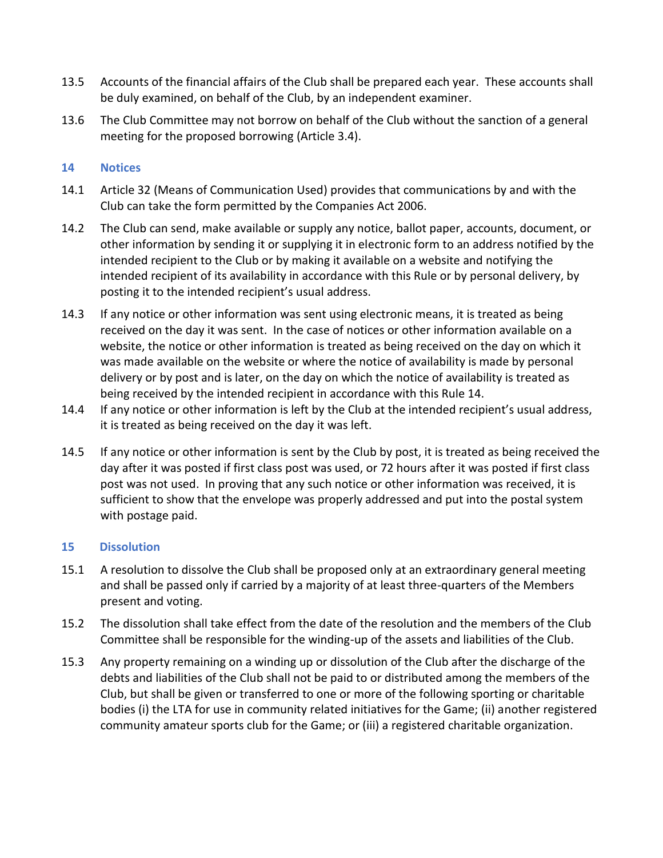- 13.5 Accounts of the financial affairs of the Club shall be prepared each year. These accounts shall be duly examined, on behalf of the Club, by an independent examiner.
- 13.6 The Club Committee may not borrow on behalf of the Club without the sanction of a general meeting for the proposed borrowing (Article 3.4).

## **14 Notices**

- 14.1 Article 32 (Means of Communication Used) provides that communications by and with the Club can take the form permitted by the Companies Act 2006.
- 14.2 The Club can send, make available or supply any notice, ballot paper, accounts, document, or other information by sending it or supplying it in electronic form to an address notified by the intended recipient to the Club or by making it available on a website and notifying the intended recipient of its availability in accordance with this Rule or by personal delivery, by posting it to the intended recipient's usual address.
- 14.3 If any notice or other information was sent using electronic means, it is treated as being received on the day it was sent. In the case of notices or other information available on a website, the notice or other information is treated as being received on the day on which it was made available on the website or where the notice of availability is made by personal delivery or by post and is later, on the day on which the notice of availability is treated as being received by the intended recipient in accordance with this Rule 14.
- 14.4 If any notice or other information is left by the Club at the intended recipient's usual address, it is treated as being received on the day it was left.
- 14.5 If any notice or other information is sent by the Club by post, it is treated as being received the day after it was posted if first class post was used, or 72 hours after it was posted if first class post was not used. In proving that any such notice or other information was received, it is sufficient to show that the envelope was properly addressed and put into the postal system with postage paid.

## **15 Dissolution**

- 15.1 A resolution to dissolve the Club shall be proposed only at an extraordinary general meeting and shall be passed only if carried by a majority of at least three-quarters of the Members present and voting.
- 15.2 The dissolution shall take effect from the date of the resolution and the members of the Club Committee shall be responsible for the winding-up of the assets and liabilities of the Club.
- 15.3 Any property remaining on a winding up or dissolution of the Club after the discharge of the debts and liabilities of the Club shall not be paid to or distributed among the members of the Club, but shall be given or transferred to one or more of the following sporting or charitable bodies (i) the LTA for use in community related initiatives for the Game; (ii) another registered community amateur sports club for the Game; or (iii) a registered charitable organization.